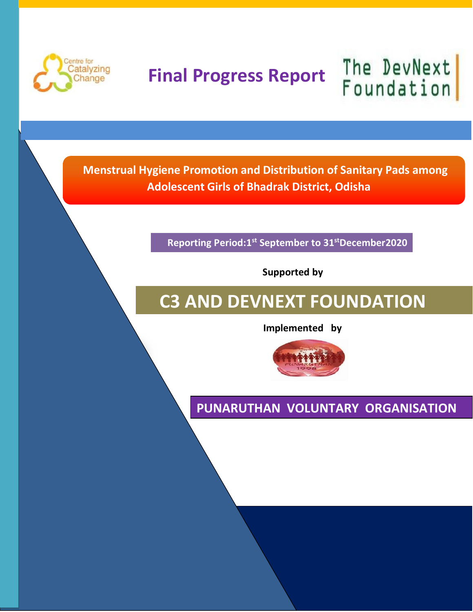

# **Final Progress Report**

The DevNext **Foundation** 

 **Menstrual Hygiene Promotion and Distribution of Sanitary Pads among Adolescent Girls of Bhadrak District, Odisha** 

**Reporting Period:1st September to 31stDecember2020**

 **Supported by**

# **C3 AND DEVNEXT FOUNDATION**

 **Implemented by**



**PUNARUTHAN VOLUNTARY ORGANISATION**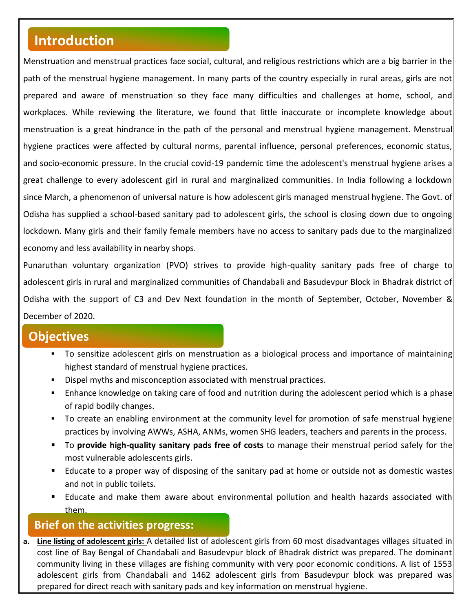# **Introduction**

Menstruation and menstrual practices face social, cultural, and religious restrictions which are a big barrier in the path of the menstrual hygiene management. In many parts of the country especially in rural areas, girls are not prepared and aware of menstruation so they face many difficulties and challenges at home, school, and workplaces. While reviewing the literature, we found that little inaccurate or incomplete knowledge about menstruation is a great hindrance in the path of the personal and menstrual hygiene management. Menstrual hygiene practices were affected by cultural norms, parental influence, personal preferences, economic status, and socio-economic pressure. In the crucial covid-19 pandemic time the adolescent's menstrual hygiene arises a great challenge to every adolescent girl in rural and marginalized communities. In India following a lockdown since March, a phenomenon of universal nature is how adolescent girls managed menstrual hygiene. The Govt. of Odisha has supplied a school-based sanitary pad to adolescent girls, the school is closing down due to ongoing lockdown. Many girls and their family female members have no access to sanitary pads due to the marginalized economy and less availability in nearby shops.

Punaruthan voluntary organization (PVO) strives to provide high-quality sanitary pads free of charge to adolescent girls in rural and marginalized communities of Chandabali and Basudevpur Block in Bhadrak district of Odisha with the support of C3 and Dev Next foundation in the month of September, October, November & December of 2020.

### **Objectives**

- To sensitize adolescent girls on menstruation as a biological process and importance of maintaining highest standard of menstrual hygiene practices.
- **Dispel myths and misconception associated with menstrual practices.**
- Enhance knowledge on taking care of food and nutrition during the adolescent period which is a phase of rapid bodily changes.
- To create an enabling environment at the community level for promotion of safe menstrual hygiene practices by involving AWWs, ASHA, ANMs, women SHG leaders, teachers and parents in the process.
- To **provide high-quality sanitary pads free of costs** to manage their menstrual period safely for the most vulnerable adolescents girls.
- Educate to a proper way of disposing of the sanitary pad at home or outside not as domestic wastes and not in public toilets.
- **E** Educate and make them aware about environmental pollution and health hazards associated with them.

### **Brief on the activities progress:**

**a. Line listing of adolescent girls:** A detailed list of adolescent girls from 60 most disadvantages villages situated in cost line of Bay Bengal of Chandabali and Basudevpur block of Bhadrak district was prepared. The dominant community living in these villages are fishing community with very poor economic conditions. A list of 1553 adolescent girls from Chandabali and 1462 adolescent girls from Basudevpur block was prepared was prepared for direct reach with sanitary pads and key information on menstrual hygiene.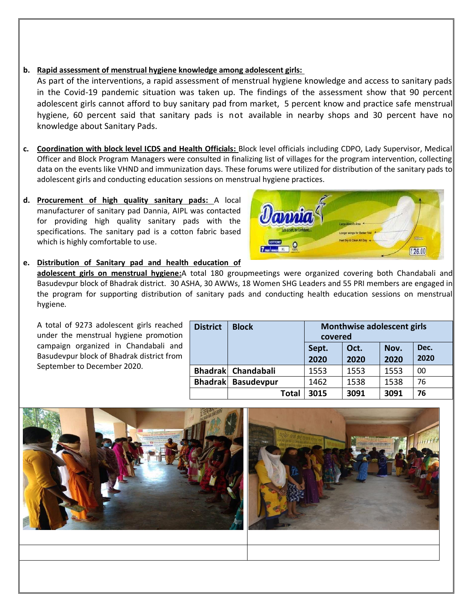#### **b. Rapid assessment of menstrual hygiene knowledge among adolescent girls:**

As part of the interventions, a rapid assessment of menstrual hygiene knowledge and access to sanitary pads in the Covid-19 pandemic situation was taken up. The findings of the assessment show that 90 percent adolescent girls cannot afford to buy sanitary pad from market, 5 percent know and practice safe menstrual hygiene, 60 percent said that sanitary pads is not available in nearby shops and 30 percent have no knowledge about Sanitary Pads.

- **c. Coordination with block level ICDS and Health Officials:** Block level officials including CDPO, Lady Supervisor, Medical Officer and Block Program Managers were consulted in finalizing list of villages for the program intervention, collecting data on the events like VHND and immunization days. These forums were utilized for distribution of the sanitary pads to adolescent girls and conducting education sessions on menstrual hygiene practices.
- **d. Procurement of high quality sanitary pads:** A local manufacturer of sanitary pad Dannia, AIPL was contacted for providing high quality sanitary pads with the specifications. The sanitary pad is a cotton fabric based which is highly comfortable to use.



#### **e. Distribution of Sanitary pad and health education of**

**adolescent girls on menstrual hygiene:**A total 180 groupmeetings were organized covering both Chandabali and Basudevpur block of Bhadrak district. 30 ASHA, 30 AWWs, 18 Women SHG Leaders and 55 PRI members are engaged in the program for supporting distribution of sanitary pads and conducting health education sessions on menstrual hygiene.

A total of 9273 adolescent girls reached under the menstrual hygiene promotion campaign organized in Chandabali and Basudevpur block of Bhadrak district from September to December 2020.

| <b>District</b> | <b>Block</b>       | Monthwise adolescent girls<br>covered |              |              |              |  |
|-----------------|--------------------|---------------------------------------|--------------|--------------|--------------|--|
|                 |                    | Sept.<br>2020                         | Oct.<br>2020 | Nov.<br>2020 | Dec.<br>2020 |  |
|                 | Bhadrak Chandabali | 1553                                  | 1553         | 1553         | 00           |  |
| <b>Bhadrak</b>  | <b>Basudevpur</b>  | 1462                                  | 1538         | 1538         | 76           |  |
|                 | Total              | 3015                                  | 3091         | 3091         | 76           |  |

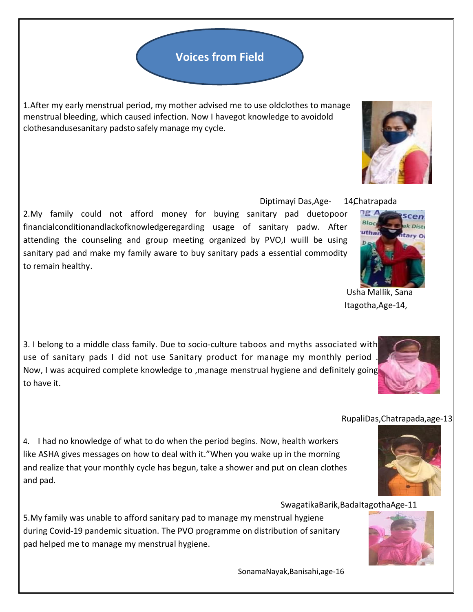## **Voices from Field**

1.After my early menstrual period, my mother advised me to use oldclothes to manage menstrual bleeding, which caused infection. Now I havegot knowledge to avoidold clothesandusesanitary padsto safely manage my cycle.

Diptimayi Das, Age- 14 Chatrapada

2.My family could not afford money for buying sanitary pad duetopoor financialconditionandlackofknowledgeregarding usage of sanitary padw. After attending the counseling and group meeting organized by PVO,I wuill be using sanitary pad and make my family aware to buy sanitary pads a essential commodity to remain healthy.

3. I belong to a middle class family. Due to socio-culture taboos and myths associated with use of sanitary pads I did not use Sanitary product for manage my monthly period . Now, I was acquired complete knowledge to ,manage menstrual hygiene and definitely going to have it.

4. I had no knowledge of what to do when the period begins. Now, health workers like ASHA gives messages on how to deal with it."When you wake up in the morning and realize that your monthly cycle has begun, take a shower and put on clean clothes and pad.

SwagatikaBarik,BadaItagothaAge-11

5.My family was unable to afford sanitary pad to manage my menstrual hygiene during Covid-19 pandemic situation. The PVO programme on distribution of sanitary pad helped me to manage my menstrual hygiene.

SonamaNayak,Banisahi,age-16









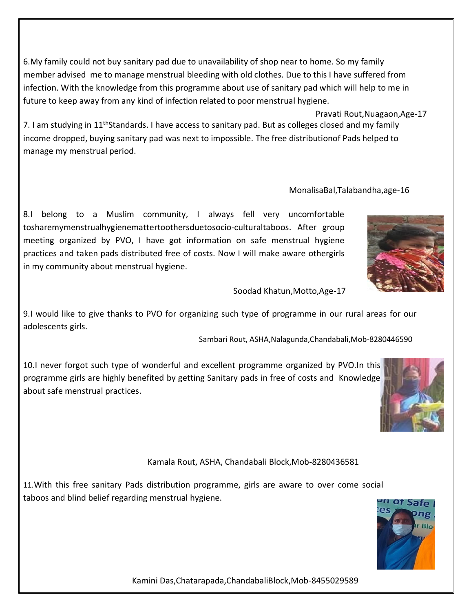6.My family could not buy sanitary pad due to unavailability of shop near to home. So my family member advised me to manage menstrual bleeding with old clothes. Due to this I have suffered from infection. With the knowledge from this programme about use of sanitary pad which will help to me in future to keep away from any kind of infection related to poor menstrual hygiene.

 Pravati Rout,Nuagaon,Age-17 7. I am studying in 11<sup>th</sup>Standards. I have access to sanitary pad. But as colleges closed and my family income dropped, buying sanitary pad was next to impossible. The free distributionof Pads helped to manage my menstrual period.

8.I belong to a Muslim community, I always fell very uncomfortable tosharemymenstrualhygienemattertoothersduetosocio-culturaltaboos. After group meeting organized by PVO, I have got information on safe menstrual hygiene practices and taken pads distributed free of costs. Now I will make aware othergirls in my community about menstrual hygiene.

Soodad Khatun,Motto,Age-17

9.I would like to give thanks to PVO for organizing such type of programme in our rural areas for our adolescents girls.

Sambari Rout, ASHA,Nalagunda,Chandabali,Mob-8280446590

10.I never forgot such type of wonderful and excellent programme organized by PVO.In this programme girls are highly benefited by getting Sanitary pads in free of costs and Knowledge about safe menstrual practices.

#### Kamala Rout, ASHA, Chandabali Block,Mob-8280436581

11.With this free sanitary Pads distribution programme, girls are aware to over come social taboos and blind belief regarding menstrual hygiene.









MonalisaBal,Talabandha,age-16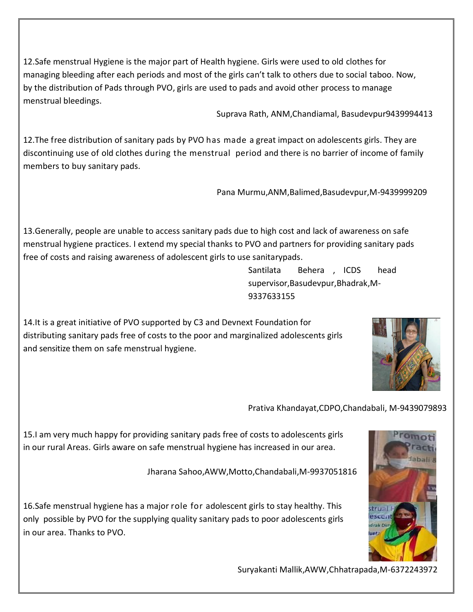12.Safe menstrual Hygiene is the major part of Health hygiene. Girls were used to old clothes for managing bleeding after each periods and most of the girls can't talk to others due to social taboo. Now, by the distribution of Pads through PVO, girls are used to pads and avoid other process to manage menstrual bleedings.

Suprava Rath, ANM,Chandiamal, Basudevpur9439994413

12.The free distribution of sanitary pads by PVO has made a great impact on adolescents girls. They are discontinuing use of old clothes during the menstrual period and there is no barrier of income of family members to buy sanitary pads.

Pana Murmu,ANM,Balimed,Basudevpur,M-9439999209

13.Generally, people are unable to access sanitary pads due to high cost and lack of awareness on safe menstrual hygiene practices. I extend my special thanks to PVO and partners for providing sanitary pads free of costs and raising awareness of adolescent girls to use sanitarypads.

> Santilata Behera , ICDS head supervisor,Basudevpur,Bhadrak,M-9337633155

14.It is a great initiative of PVO supported by C3 and Devnext Foundation for distributing sanitary pads free of costs to the poor and marginalized adolescents girls and sensitize them on safe menstrual hygiene.



Prativa Khandayat,CDPO,Chandabali, M-9439079893

15.I am very much happy for providing sanitary pads free of costs to adolescents girls in our rural Areas. Girls aware on safe menstrual hygiene has increased in our area.

Jharana Sahoo,AWW,Motto,Chandabali,M-9937051816

16.Safe menstrual hygiene has a major role for adolescent girls to stay healthy. This only possible by PVO for the supplying quality sanitary pads to poor adolescents girls in our area. Thanks to PVO.



Suryakanti Mallik,AWW,Chhatrapada,M-6372243972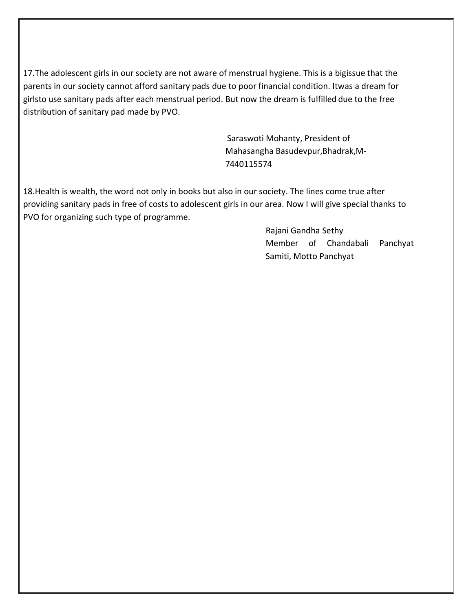17.The adolescent girls in our society are not aware of menstrual hygiene. This is a bigissue that the parents in our society cannot afford sanitary pads due to poor financial condition. Itwas a dream for girlsto use sanitary pads after each menstrual period. But now the dream is fulfilled due to the free distribution of sanitary pad made by PVO.

> Saraswoti Mohanty, President of Mahasangha Basudevpur,Bhadrak,M-7440115574

18.Health is wealth, the word not only in books but also in our society. The lines come true after providing sanitary pads in free of costs to adolescent girls in our area. Now I will give special thanks to PVO for organizing such type of programme.

> Rajani Gandha Sethy Member of Chandabali Panchyat Samiti, Motto Panchyat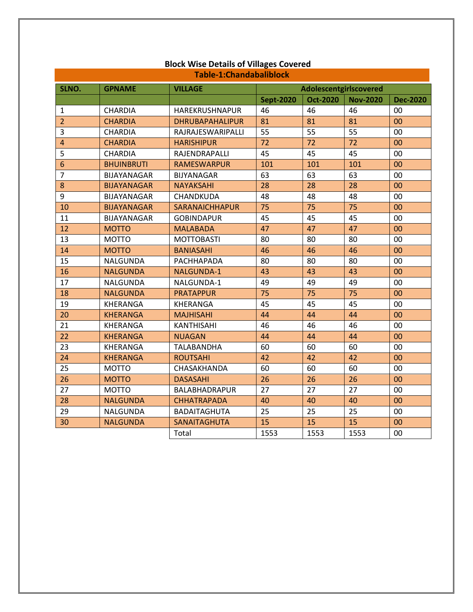| Table-1:Chandabaliblock |                    |                        |                        |                 |                 |                 |  |
|-------------------------|--------------------|------------------------|------------------------|-----------------|-----------------|-----------------|--|
| SLNO.                   | <b>GPNAME</b>      | <b>VILLAGE</b>         | Adolescentgirlscovered |                 |                 |                 |  |
|                         |                    |                        | <b>Sept-2020</b>       | <b>Oct-2020</b> | <b>Nov-2020</b> | <b>Dec-2020</b> |  |
| 1                       | CHARDIA            | HAREKRUSHNAPUR         | 46                     | 46              | 46              | 00              |  |
| $\overline{2}$          | <b>CHARDIA</b>     | <b>DHRUBAPAHALIPUR</b> | 81                     | 81              | 81              | 00              |  |
| 3                       | <b>CHARDIA</b>     | RAJRAJESWARIPALLI      | 55                     | 55              | 55              | 00              |  |
| $\overline{4}$          | <b>CHARDIA</b>     | <b>HARISHIPUR</b>      | 72                     | 72              | 72              | 00              |  |
| 5                       | CHARDIA            | RAJENDRAPALLI          | 45                     | 45              | 45              | 00              |  |
| $6\phantom{a}$          | <b>BHUINBRUTI</b>  | <b>RAMESWARPUR</b>     | 101                    | 101             | 101             | 00              |  |
| $\overline{7}$          | BIJAYANAGAR        | <b>BIJYANAGAR</b>      | 63                     | 63              | 63              | 00              |  |
| 8                       | <b>BIJAYANAGAR</b> | <b>NAYAKSAHI</b>       | 28                     | 28              | 28              | 00              |  |
| 9                       | BIJAYANAGAR        | CHANDKUDA              | 48                     | 48              | 48              | 00              |  |
| 10                      | <b>BIJAYANAGAR</b> | <b>SARANAICHHAPUR</b>  | 75                     | 75              | 75              | 00              |  |
| 11                      | BIJAYANAGAR        | <b>GOBINDAPUR</b>      | 45                     | 45              | 45              | 00              |  |
| 12                      | <b>MOTTO</b>       | <b>MALABADA</b>        | 47                     | 47              | 47              | 00              |  |
| 13                      | <b>MOTTO</b>       | <b>MOTTOBASTI</b>      | 80                     | 80              | 80              | 00              |  |
| 14                      | <b>MOTTO</b>       | <b>BANIASAHI</b>       | 46                     | 46              | 46              | 00              |  |
| 15                      | NALGUNDA           | PACHHAPADA             | 80                     | 80              | 80              | 00              |  |
| 16                      | <b>NALGUNDA</b>    | NALGUNDA-1             | 43                     | 43              | 43              | 00              |  |
| 17                      | NALGUNDA           | NALGUNDA-1             | 49                     | 49              | 49              | 00              |  |
| 18                      | <b>NALGUNDA</b>    | <b>PRATAPPUR</b>       | 75                     | 75              | 75              | 00              |  |
| 19                      | KHERANGA           | KHERANGA               | 45                     | 45              | 45              | 00              |  |
| 20                      | <b>KHERANGA</b>    | <b>MAJHISAHI</b>       | 44                     | 44              | 44              | 00              |  |
| 21                      | KHERANGA           | <b>KANTHISAHI</b>      | 46                     | 46              | 46              | 00              |  |
| 22                      | <b>KHERANGA</b>    | <b>NUAGAN</b>          | 44                     | 44              | 44              | 00              |  |
| 23                      | KHERANGA           | <b>TALABANDHA</b>      | 60                     | 60              | 60              | 00              |  |
| 24                      | <b>KHERANGA</b>    | <b>ROUTSAHI</b>        | 42                     | 42              | 42              | 00              |  |
| 25                      | <b>MOTTO</b>       | CHASAKHANDA            | 60                     | 60              | 60              | 00              |  |
| 26                      | <b>MOTTO</b>       | <b>DASASAHI</b>        | 26                     | 26              | 26              | 00              |  |
| 27                      | <b>MOTTO</b>       | <b>BALABHADRAPUR</b>   | 27                     | 27              | 27              | 00              |  |
| 28                      | <b>NALGUNDA</b>    | <b>CHHATRAPADA</b>     | 40                     | 40              | 40              | 00              |  |
| 29                      | NALGUNDA           | BADAITAGHUTA           | 25                     | 25              | 25              | 00              |  |
| 30                      | <b>NALGUNDA</b>    | SANAITAGHUTA           | 15                     | 15              | 15              | 00              |  |
|                         |                    | Total                  | 1553                   | 1553            | 1553            | 00              |  |

## **Block Wise Details of Villages Covered**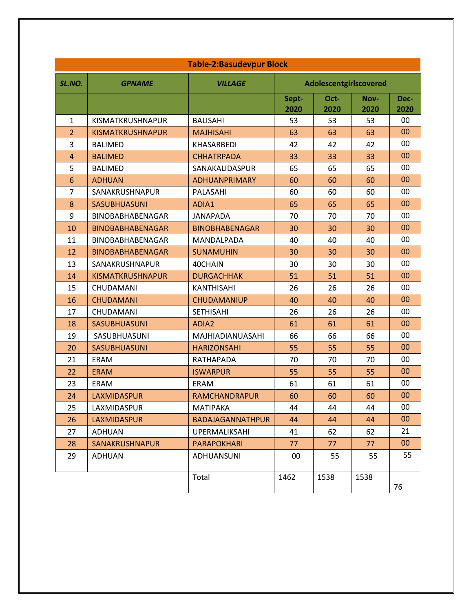| <b>Table-2:Basudevpur Block</b> |                         |                       |                        |              |              |              |
|---------------------------------|-------------------------|-----------------------|------------------------|--------------|--------------|--------------|
| SL.NO.                          | <b>GPNAME</b>           | <b>VILLAGE</b>        | Adolescentgirlscovered |              |              |              |
|                                 |                         |                       | Sept-<br>2020          | Oct-<br>2020 | Nov-<br>2020 | Dec-<br>2020 |
| $\mathbf{1}$                    | KISMATKRUSHNAPUR        | <b>BALISAHI</b>       | 53                     | 53           | 53           | 00           |
| $\overline{2}$                  | <b>KISMATKRUSHNAPUR</b> | <b>MAJHISAHI</b>      | 63                     | 63           | 63           | 00           |
| 3                               | <b>BALIMED</b>          | KHASARBEDI            | 42                     | 42           | 42           | 00           |
| $\overline{4}$                  | <b>BALIMED</b>          | <b>CHHATRPADA</b>     | 33                     | 33           | 33           | 00           |
| 5                               | <b>BALIMED</b>          | SANAKALIDASPUR        | 65                     | 65           | 65           | 00           |
| 6                               | <b>ADHUAN</b>           | <b>ADHUANPRIMARY</b>  | 60                     | 60           | 60           | 00           |
| $\overline{7}$                  | SANAKRUSHNAPUR          | PALASAHI              | 60                     | 60           | 60           | 00           |
| 8                               | <b>SASUBHUASUNI</b>     | ADIA1                 | 65                     | 65           | 65           | 00           |
| 9                               | BINOBABHABENAGAR        | <b>JANAPADA</b>       | 70                     | 70           | 70           | 00           |
| 10                              | <b>BINOBABHABENAGAR</b> | <b>BINOBHABENAGAR</b> | 30                     | 30           | 30           | 00           |
| 11                              | BINOBABHABENAGAR        | MANDALPADA            | 40                     | 40           | 40           | 00           |
| 12                              | <b>BINOBABHABENAGAR</b> | <b>SUNAMUHIN</b>      | 30                     | 30           | 30           | 00           |
| 13                              | SANAKRUSHNAPUR          | 40CHAIN               | 30                     | 30           | 30           | 00           |
| 14                              | <b>KISMATKRUSHNAPUR</b> | <b>DURGACHHAK</b>     | 51                     | 51           | 51           | 00           |
| 15                              | CHUDAMANI               | <b>KANTHISAHI</b>     | 26                     | 26           | 26           | 00           |
| 16                              | <b>CHUDAMANI</b>        | <b>CHUDAMANIUP</b>    | 40                     | 40           | 40           | 00           |
| 17                              | CHUDAMANI               | <b>SETHISAHI</b>      | 26                     | 26           | 26           | 00           |
| 18                              | <b>SASUBHUASUNI</b>     | ADIA2                 | 61                     | 61           | 61           | 00           |
| 19                              | SASUBHUASUNI            | MAJHIADIANUASAHI      | 66                     | 66           | 66           | 00           |
| 20                              | <b>SASUBHUASUNI</b>     | <b>HARIZONSAHI</b>    | 55                     | 55           | 55           | 00           |
| 21                              | <b>ERAM</b>             | RATHAPADA             | 70                     | 70           | 70           | 00           |
| 22                              | <b>ERAM</b>             | <b>ISWARPUR</b>       | 55                     | 55           | 55           | 00           |
| 23                              | <b>ERAM</b>             | <b>ERAM</b>           | 61                     | 61           | 61           | 00           |
| 24                              | <b>LAXMIDASPUR</b>      | <b>RAMCHANDRAPUR</b>  | 60                     | 60           | 60           | 00           |
| 25                              | LAXMIDASPUR             | MATIPAKA              | 44                     | 44           | 44           | 00           |
| 26                              | LAXMIDASPUR             | BADAJAGANNATHPUR      | 44                     | 44           | 44           | $00\,$       |
| 27                              | ADHUAN                  | UPERMALIKSAHI         | 41                     | 62           | 62           | 21           |
| 28                              | SANAKRUSHNAPUR          | <b>PARAPOKHARI</b>    | 77                     | 77           | 77           | $00\,$       |
| 29                              | <b>ADHUAN</b>           | ADHUANSUNI            | 00                     | 55           | 55           | 55           |
|                                 |                         | Total                 | 1462                   | 1538         | 1538         | 76           |